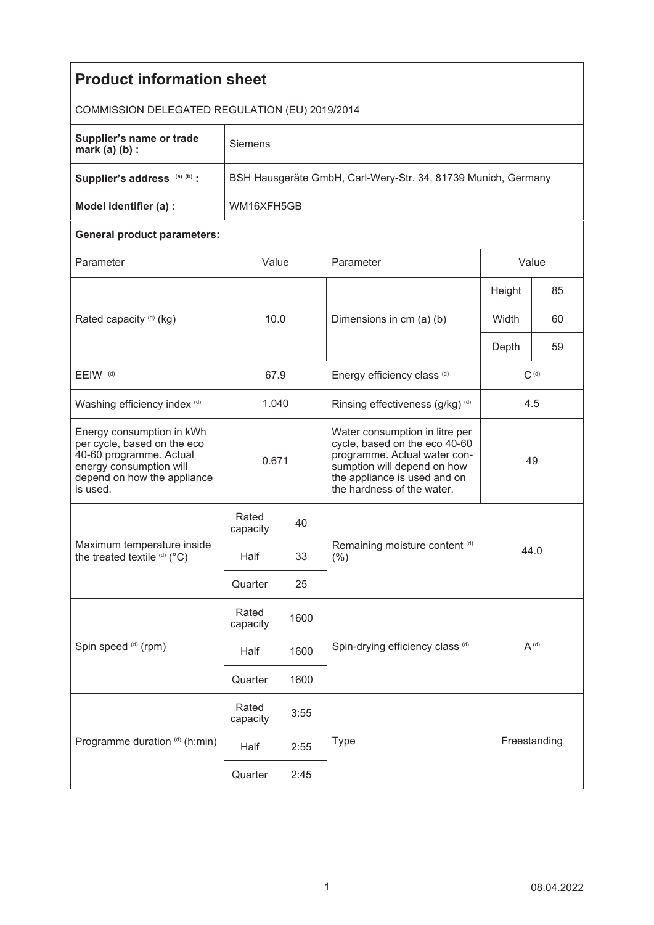| <b>Product information sheet</b>                                                                                                                          |                                                               |                                     |                                                                                                                                                                                              |              |      |  |  |  |
|-----------------------------------------------------------------------------------------------------------------------------------------------------------|---------------------------------------------------------------|-------------------------------------|----------------------------------------------------------------------------------------------------------------------------------------------------------------------------------------------|--------------|------|--|--|--|
| COMMISSION DELEGATED REGULATION (EU) 2019/2014                                                                                                            |                                                               |                                     |                                                                                                                                                                                              |              |      |  |  |  |
| Supplier's name or trade<br>mark $(a)$ $(b)$ :                                                                                                            | Siemens                                                       |                                     |                                                                                                                                                                                              |              |      |  |  |  |
| Supplier's address (a) (b) :                                                                                                                              | BSH Hausgeräte GmbH, Carl-Wery-Str. 34, 81739 Munich, Germany |                                     |                                                                                                                                                                                              |              |      |  |  |  |
| Model identifier (a) :                                                                                                                                    | WM16XFH5GB                                                    |                                     |                                                                                                                                                                                              |              |      |  |  |  |
| <b>General product parameters:</b>                                                                                                                        |                                                               |                                     |                                                                                                                                                                                              |              |      |  |  |  |
| Parameter                                                                                                                                                 | Value                                                         |                                     | Parameter                                                                                                                                                                                    | Value        |      |  |  |  |
| Rated capacity (d) (kg)                                                                                                                                   | 10.0                                                          |                                     | Dimensions in cm (a) (b)                                                                                                                                                                     | Height       | 85   |  |  |  |
|                                                                                                                                                           |                                                               |                                     |                                                                                                                                                                                              | Width        | 60   |  |  |  |
|                                                                                                                                                           |                                                               |                                     |                                                                                                                                                                                              | Depth        | 59   |  |  |  |
| EEIW <sup>(d)</sup>                                                                                                                                       |                                                               | 67.9<br>Energy efficiency class (d) |                                                                                                                                                                                              | $C^{(d)}$    |      |  |  |  |
| Washing efficiency index (d)                                                                                                                              | 1.040                                                         |                                     | Rinsing effectiveness (g/kg) (d)                                                                                                                                                             | 4.5          |      |  |  |  |
| Energy consumption in kWh<br>per cycle, based on the eco<br>40-60 programme. Actual<br>energy consumption will<br>depend on how the appliance<br>is used. | 0.671                                                         |                                     | Water consumption in litre per<br>cycle, based on the eco 40-60<br>programme. Actual water con-<br>sumption will depend on how<br>the appliance is used and on<br>the hardness of the water. | 49           |      |  |  |  |
| Maximum temperature inside<br>the treated textile (d) (°C)                                                                                                | Rated<br>capacity                                             | 40                                  |                                                                                                                                                                                              |              |      |  |  |  |
|                                                                                                                                                           | Half                                                          | 33                                  | Remaining moisture content (d)<br>(% )                                                                                                                                                       |              | 44.0 |  |  |  |
|                                                                                                                                                           | Quarter                                                       | 25                                  |                                                                                                                                                                                              |              |      |  |  |  |
| Spin speed (d) (rpm)                                                                                                                                      | Rated<br>capacity                                             | 1600                                |                                                                                                                                                                                              |              |      |  |  |  |
|                                                                                                                                                           | Half                                                          | 1600                                | Spin-drying efficiency class (d)                                                                                                                                                             | $A^{(d)}$    |      |  |  |  |
|                                                                                                                                                           | Quarter                                                       | 1600                                |                                                                                                                                                                                              |              |      |  |  |  |
| Programme duration (d) (h:min)                                                                                                                            | Rated<br>capacity                                             | 3:55                                |                                                                                                                                                                                              |              |      |  |  |  |
|                                                                                                                                                           | Half                                                          | <b>Type</b><br>2:55                 |                                                                                                                                                                                              | Freestanding |      |  |  |  |
|                                                                                                                                                           | Quarter                                                       | 2:45                                |                                                                                                                                                                                              |              |      |  |  |  |